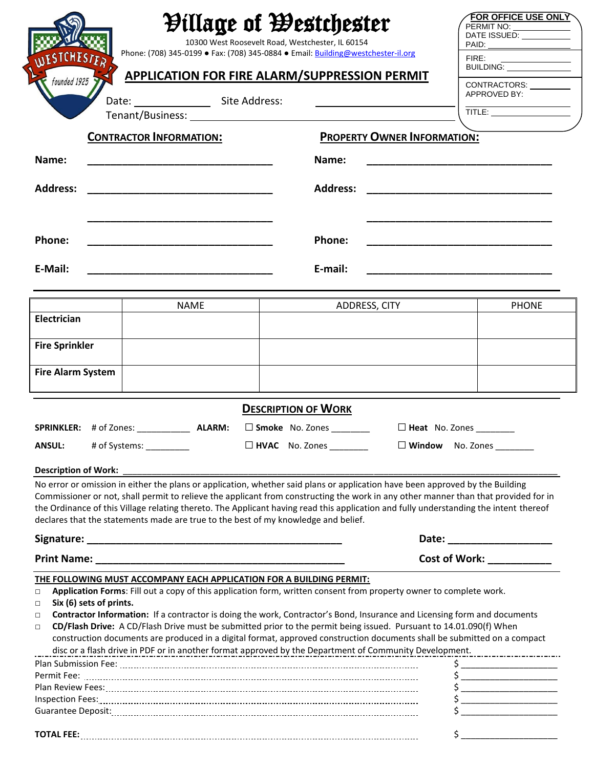|                                                                      |                                                                                    | <b><i>Pillage of Westchester</i></b><br>10300 West Roosevelt Road, Westchester, IL 60154                                                                                                                                                                                                                                                                                                                      | <b>FOR OFFICE USE ONLY</b><br>PERMIT NO:<br>DATE ISSUED: ___________                                                                                                                                                                                                                                                                                                                                                                                                                                                                                                                                                                                                                                                                               |  |
|----------------------------------------------------------------------|------------------------------------------------------------------------------------|---------------------------------------------------------------------------------------------------------------------------------------------------------------------------------------------------------------------------------------------------------------------------------------------------------------------------------------------------------------------------------------------------------------|----------------------------------------------------------------------------------------------------------------------------------------------------------------------------------------------------------------------------------------------------------------------------------------------------------------------------------------------------------------------------------------------------------------------------------------------------------------------------------------------------------------------------------------------------------------------------------------------------------------------------------------------------------------------------------------------------------------------------------------------------|--|
| <b>TCHEST</b>                                                        |                                                                                    | Phone: (708) 345-0199 • Fax: (708) 345-0884 • Email: <b>Building@westchester-il.org</b>                                                                                                                                                                                                                                                                                                                       | FIRE:                                                                                                                                                                                                                                                                                                                                                                                                                                                                                                                                                                                                                                                                                                                                              |  |
| <b>APPLICATION FOR FIRE ALARM/SUPPRESSION PERMIT</b><br>founded 1925 |                                                                                    |                                                                                                                                                                                                                                                                                                                                                                                                               | FIRE:<br>BUILDING: _______________<br>CONTRACTORS: _________<br>APPROVED BY:                                                                                                                                                                                                                                                                                                                                                                                                                                                                                                                                                                                                                                                                       |  |
|                                                                      | Date: Site Address:                                                                |                                                                                                                                                                                                                                                                                                                                                                                                               | $\overline{\mathsf{TITLE}}:\underline{\hspace{2.5cm}}$                                                                                                                                                                                                                                                                                                                                                                                                                                                                                                                                                                                                                                                                                             |  |
|                                                                      |                                                                                    |                                                                                                                                                                                                                                                                                                                                                                                                               |                                                                                                                                                                                                                                                                                                                                                                                                                                                                                                                                                                                                                                                                                                                                                    |  |
|                                                                      | <b>PROPERTY OWNER INFORMATION:</b><br><b>CONTRACTOR INFORMATION:</b>               |                                                                                                                                                                                                                                                                                                                                                                                                               |                                                                                                                                                                                                                                                                                                                                                                                                                                                                                                                                                                                                                                                                                                                                                    |  |
| Name:                                                                |                                                                                    | Name:                                                                                                                                                                                                                                                                                                                                                                                                         |                                                                                                                                                                                                                                                                                                                                                                                                                                                                                                                                                                                                                                                                                                                                                    |  |
| <b>Address:</b>                                                      |                                                                                    |                                                                                                                                                                                                                                                                                                                                                                                                               |                                                                                                                                                                                                                                                                                                                                                                                                                                                                                                                                                                                                                                                                                                                                                    |  |
| Phone:                                                               |                                                                                    | Phone:                                                                                                                                                                                                                                                                                                                                                                                                        |                                                                                                                                                                                                                                                                                                                                                                                                                                                                                                                                                                                                                                                                                                                                                    |  |
| E-Mail:                                                              |                                                                                    | E-mail:                                                                                                                                                                                                                                                                                                                                                                                                       |                                                                                                                                                                                                                                                                                                                                                                                                                                                                                                                                                                                                                                                                                                                                                    |  |
|                                                                      | <b>NAME</b>                                                                        | ADDRESS, CITY                                                                                                                                                                                                                                                                                                                                                                                                 | <b>PHONE</b>                                                                                                                                                                                                                                                                                                                                                                                                                                                                                                                                                                                                                                                                                                                                       |  |
| <b>Electrician</b>                                                   |                                                                                    |                                                                                                                                                                                                                                                                                                                                                                                                               |                                                                                                                                                                                                                                                                                                                                                                                                                                                                                                                                                                                                                                                                                                                                                    |  |
| <b>Fire Sprinkler</b>                                                |                                                                                    |                                                                                                                                                                                                                                                                                                                                                                                                               |                                                                                                                                                                                                                                                                                                                                                                                                                                                                                                                                                                                                                                                                                                                                                    |  |
| <b>Fire Alarm System</b>                                             |                                                                                    |                                                                                                                                                                                                                                                                                                                                                                                                               |                                                                                                                                                                                                                                                                                                                                                                                                                                                                                                                                                                                                                                                                                                                                                    |  |
|                                                                      |                                                                                    | <b>DESCRIPTION OF WORK</b>                                                                                                                                                                                                                                                                                                                                                                                    |                                                                                                                                                                                                                                                                                                                                                                                                                                                                                                                                                                                                                                                                                                                                                    |  |
|                                                                      | SPRINKLER: #of Zones: _____________ ALARM: □ Smoke No. Zones ________              |                                                                                                                                                                                                                                                                                                                                                                                                               | Heat No. Zones ______                                                                                                                                                                                                                                                                                                                                                                                                                                                                                                                                                                                                                                                                                                                              |  |
| <b>ANSUL:</b>                                                        | # of Systems: __________                                                           | $\Box$ HVAC No. Zones                                                                                                                                                                                                                                                                                                                                                                                         |                                                                                                                                                                                                                                                                                                                                                                                                                                                                                                                                                                                                                                                                                                                                                    |  |
|                                                                      |                                                                                    |                                                                                                                                                                                                                                                                                                                                                                                                               |                                                                                                                                                                                                                                                                                                                                                                                                                                                                                                                                                                                                                                                                                                                                                    |  |
|                                                                      |                                                                                    |                                                                                                                                                                                                                                                                                                                                                                                                               |                                                                                                                                                                                                                                                                                                                                                                                                                                                                                                                                                                                                                                                                                                                                                    |  |
|                                                                      | declares that the statements made are true to the best of my knowledge and belief. | No error or omission in either the plans or application, whether said plans or application have been approved by the Building<br>Commissioner or not, shall permit to relieve the applicant from constructing the work in any other manner than that provided for in<br>the Ordinance of this Village relating thereto. The Applicant having read this application and fully understanding the intent thereof |                                                                                                                                                                                                                                                                                                                                                                                                                                                                                                                                                                                                                                                                                                                                                    |  |
|                                                                      |                                                                                    |                                                                                                                                                                                                                                                                                                                                                                                                               | Date: ________________________                                                                                                                                                                                                                                                                                                                                                                                                                                                                                                                                                                                                                                                                                                                     |  |
|                                                                      |                                                                                    |                                                                                                                                                                                                                                                                                                                                                                                                               | Cost of Work: ___________                                                                                                                                                                                                                                                                                                                                                                                                                                                                                                                                                                                                                                                                                                                          |  |
| Six (6) sets of prints.                                              | THE FOLLOWING MUST ACCOMPANY EACH APPLICATION FOR A BUILDING PERMIT:               | Application Forms: Fill out a copy of this application form, written consent from property owner to complete work.                                                                                                                                                                                                                                                                                            |                                                                                                                                                                                                                                                                                                                                                                                                                                                                                                                                                                                                                                                                                                                                                    |  |
|                                                                      |                                                                                    | Contractor Information: If a contractor is doing the work, Contractor's Bond, Insurance and Licensing form and documents<br>CD/Flash Drive: A CD/Flash Drive must be submitted prior to the permit being issued. Pursuant to 14.01.090(f) When<br>construction documents are produced in a digital format, approved construction documents shall be submitted on a compact                                    | disc or a flash drive in PDF or in another format approved by the Department of Community Development.                                                                                                                                                                                                                                                                                                                                                                                                                                                                                                                                                                                                                                             |  |
|                                                                      |                                                                                    |                                                                                                                                                                                                                                                                                                                                                                                                               | $\frac{1}{2}$                                                                                                                                                                                                                                                                                                                                                                                                                                                                                                                                                                                                                                                                                                                                      |  |
|                                                                      |                                                                                    |                                                                                                                                                                                                                                                                                                                                                                                                               | $\begin{array}{c}\n5 \end{array}$                                                                                                                                                                                                                                                                                                                                                                                                                                                                                                                                                                                                                                                                                                                  |  |
| <b>Description of Work:</b><br>$\Box$<br>$\Box$<br>$\Box$<br>$\Box$  |                                                                                    |                                                                                                                                                                                                                                                                                                                                                                                                               | $\begin{array}{c} \n \uparrow \quad \quad \quad \downarrow \quad \quad \quad \quad \downarrow \quad \quad \quad \downarrow \quad \quad \quad \downarrow \quad \quad \downarrow \quad \quad \downarrow \quad \quad \downarrow \quad \quad \downarrow \quad \quad \downarrow \quad \quad \downarrow \quad \quad \downarrow \quad \downarrow \quad \quad \downarrow \quad \quad \downarrow \quad \downarrow \quad \downarrow \quad \downarrow \quad \downarrow \quad \downarrow \quad \downarrow \quad \downarrow \quad \downarrow \quad \downarrow \quad \downarrow \quad \downarrow \quad \downarrow \quad \downarrow \quad \downarrow \quad \downarrow \quad \downarrow \quad \downarrow \quad \downarrow \quad \downarrow \quad \downarrow \quad$ |  |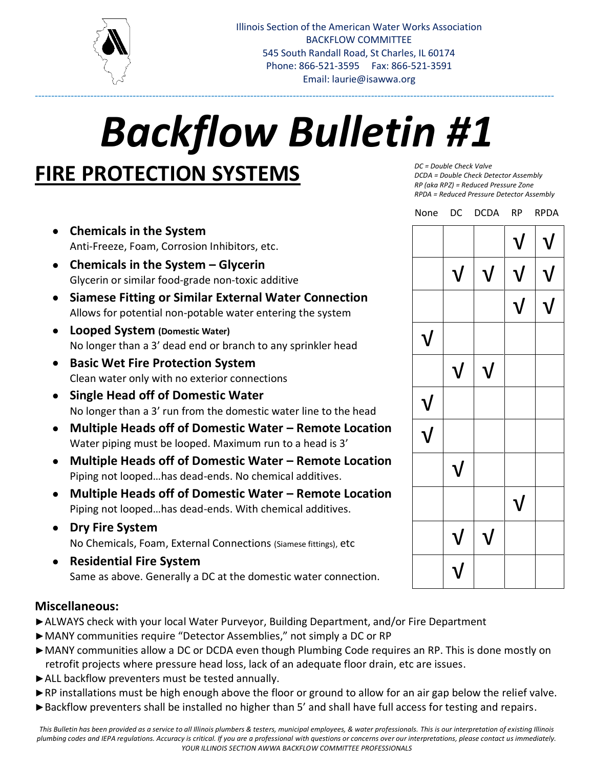

# *Backflow Bulletin #1*

---------------------------------------------------------------------------------------------------------------------------------------------------------------

## **FIRE PROTECTION SYSTEMS**

- **Chemicals in the System** Anti-Freeze, Foam, Corrosion Inhibitors, etc.
- **Chemicals in the System – Glycerin** Glycerin or similar food-grade non-toxic additive
- **Siamese Fitting or Similar External Water Connection** Allows for potential non-potable water entering the system
- **Looped System (Domestic Water)** No longer than a 3' dead end or branch to any sprinkler head
- **Basic Wet Fire Protection System** Clean water only with no exterior connections
- **Single Head off of Domestic Water** No longer than a 3' run from the domestic water line to the head
- **Multiple Heads off of Domestic Water – Remote Location** Water piping must be looped. Maximum run to a head is 3'
- **Multiple Heads off of Domestic Water – Remote Location** Piping not looped…has dead-ends. No chemical additives.
- **Multiple Heads off of Domestic Water – Remote Location** Piping not looped…has dead-ends. With chemical additives.
- **Dry Fire System** No Chemicals, Foam, External Connections (Siamese fittings), etc
- **Residential Fire System** Same as above. Generally a DC at the domestic water connection.

## **Miscellaneous:**

- **►**ALWAYS check with your local Water Purveyor, Building Department, and/or Fire Department
- **►**MANY communities require "Detector Assemblies," not simply a DC or RP
- **►**MANY communities allow a DC or DCDA even though Plumbing Code requires an RP. This is done mostly on retrofit projects where pressure head loss, lack of an adequate floor drain, etc are issues.
- **►**ALL backflow preventers must be tested annually.
- **►**RP installations must be high enough above the floor or ground to allow for an air gap below the relief valve.
- **►**Backflow preventers shall be installed no higher than 5' and shall have full access for testing and repairs.

*DC = Double Check Valve DCDA = Double Check Detector Assembly RP (aka RPZ) = Reduced Pressure Zone RPDA = Reduced Pressure Detector Assembly*

| None                      |             | DC DCDA RP |                           | <b>RPDA</b>               |
|---------------------------|-------------|------------|---------------------------|---------------------------|
|                           |             |            | $\boldsymbol{\mathsf{V}}$ | $\boldsymbol{\mathsf{V}}$ |
|                           | ${\bf V}$   | ${\bf V}$  | ${\bf V}$                 | V                         |
|                           |             |            | ${\bf V}$                 | $\sf V$                   |
| $\bf V$                   |             |            |                           |                           |
|                           | $\mathbf V$ | ${\bf V}$  |                           |                           |
| ${\bf V}$                 |             |            |                           |                           |
| $\boldsymbol{\mathsf{V}}$ |             |            |                           |                           |
|                           | ${\bf V}$   |            |                           |                           |
|                           |             |            | $\mathbf{V}$              |                           |
|                           | ${\bf V}$   | ${\bf V}$  |                           |                           |
|                           |             |            |                           |                           |

*This Bulletin has been provided as a service to all Illinois plumbers & testers, municipal employees, & water professionals. This is our interpretation of existing Illinois plumbing codes and IEPA regulations. Accuracy is critical. If you are a professional with questions or concerns over our interpretations, please contact us immediately. YOUR ILLINOIS SECTION AWWA BACKFLOW COMMITTEE PROFESSIONALS*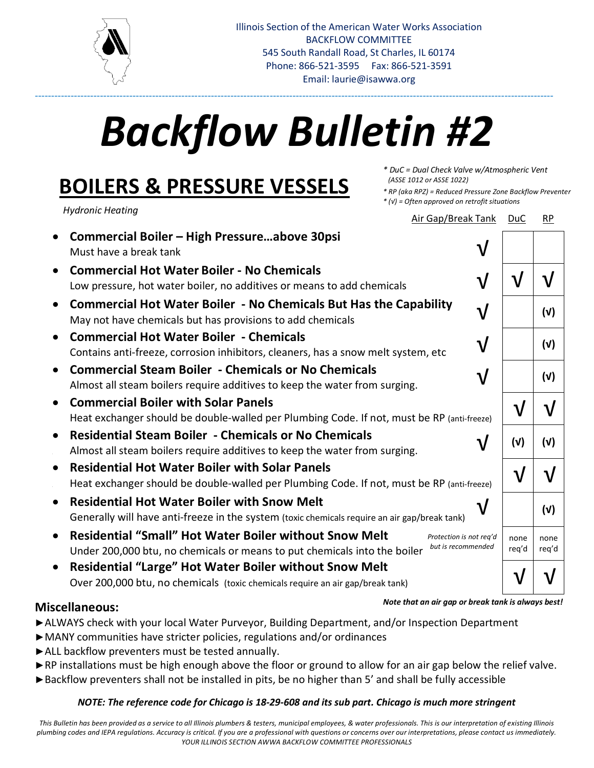

# *Backflow Bulletin #2*

---------------------------------------------------------------------------------------------------------------------------------------------------------------

## **BOILERS & PRESSURE VESSELS**

*Hydronic Heating*

√ √ √ √ √ √ √ *Protection is not req'd but is recommended* • **Commercial Boiler – High Pressure…above 30psi** Must have a break tank • **Commercial Hot Water Boiler - No Chemicals** Low pressure, hot water boiler, no additives or means to add chemicals • **Commercial Hot Water Boiler - No Chemicals But Has the Capability** May not have chemicals but has provisions to add chemicals • **Commercial Hot Water Boiler - Chemicals** Contains anti-freeze, corrosion inhibitors, cleaners, has a snow melt system, etc • **Commercial Steam Boiler - Chemicals or No Chemicals** Almost all steam boilers require additives to keep the water from surging. • **Commercial Boiler with Solar Panels** Heat exchanger should be double-walled per Plumbing Code. If not, must be RP (anti-freeze) • **Residential Steam Boiler - Chemicals or No Chemicals** • Almost all steam boilers require additives to keep the water from surging. • **Residential Hot Water Boiler with Solar Panels** • Heat exchanger should be double-walled per Plumbing Code. If not, must be RP (anti-freeze) • **Residential Hot Water Boiler with Snow Melt** Generally will have anti-freeze in the system (toxic chemicals require an air gap/break tank) • **Residential "Small" Hot Water Boiler without Snow Melt** Under 200,000 btu, no chemicals or means to put chemicals into the boiler • **Residential "Large" Hot Water Boiler without Snow Melt** Over 200,000 btu, no chemicals (toxic chemicals require an air gap/break tank) √ √ **(√) (√) (√)** √ √ **(√) (√)** √ √ **(√)** none req'd none req'd √ √ Air Gap/Break Tank DuC RP

## **Miscellaneous:**

*Note that an air gap or break tank is always best!* 

*\* DuC = Dual Check Valve w/Atmospheric Vent*

*\* (√) = Often approved on retrofit situations*

*\* RP (aka RPZ) = Reduced Pressure Zone Backflow Preventer*

 *(ASSE 1012 or ASSE 1022)*

- **►**ALWAYS check with your local Water Purveyor, Building Department, and/or Inspection Department
- **►**MANY communities have stricter policies, regulations and/or ordinances
- **►**ALL backflow preventers must be tested annually.
- **►**RP installations must be high enough above the floor or ground to allow for an air gap below the relief valve.
- **►**Backflow preventers shall not be installed in pits, be no higher than 5' and shall be fully accessible

## *NOTE: The reference code for Chicago is 18-29-608 and its sub part. Chicago is much more stringent*

*This Bulletin has been provided as a service to all Illinois plumbers & testers, municipal employees, & water professionals. This is our interpretation of existing Illinois plumbing codes and IEPA regulations. Accuracy is critical. If you are a professional with questions or concerns over our interpretations, please contact us immediately. YOUR ILLINOIS SECTION AWWA BACKFLOW COMMITTEE PROFESSIONALS*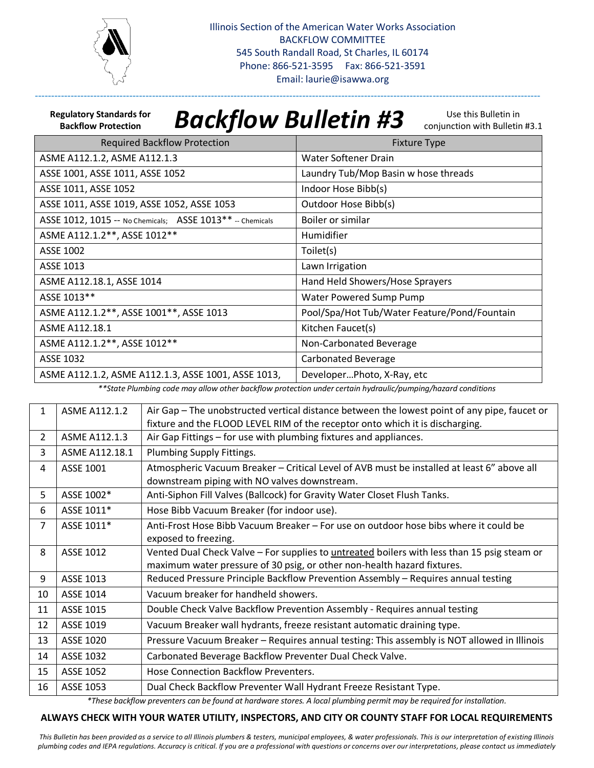

**Regulatory Standards for Backflow Protection**

# *Backflow Bulletin #3*

-----------------------------------------------------------------------------------------------------------------------------------------------------------

Use this Bulletin in conjunction with Bulletin #3.1

| <b>Required Backflow Protection</b>                        | <b>Fixture Type</b>                          |
|------------------------------------------------------------|----------------------------------------------|
| ASME A112.1.2, ASME A112.1.3                               | Water Softener Drain                         |
| ASSE 1001, ASSE 1011, ASSE 1052                            | Laundry Tub/Mop Basin w hose threads         |
| ASSE 1011, ASSE 1052                                       | Indoor Hose Bibb(s)                          |
| ASSE 1011, ASSE 1019, ASSE 1052, ASSE 1053                 | Outdoor Hose Bibb(s)                         |
| ASSE 1012, 1015 -- No Chemicals; ASSE 1013 ** -- Chemicals | Boiler or similar                            |
| ASME A112.1.2**, ASSE 1012**                               | Humidifier                                   |
| ASSE 1002                                                  | Toilet(s)                                    |
| ASSE 1013                                                  | Lawn Irrigation                              |
| ASME A112.18.1, ASSE 1014                                  | Hand Held Showers/Hose Sprayers              |
| ASSE 1013**                                                | Water Powered Sump Pump                      |
| ASME A112.1.2**, ASSE 1001**, ASSE 1013                    | Pool/Spa/Hot Tub/Water Feature/Pond/Fountain |
| <b>ASME A112.18.1</b>                                      | Kitchen Faucet(s)                            |
| ASME A112.1.2**, ASSE 1012**                               | Non-Carbonated Beverage                      |
| ASSE 1032                                                  | <b>Carbonated Beverage</b>                   |
| ASME A112.1.2, ASME A112.1.3, ASSE 1001, ASSE 1013,        | DeveloperPhoto, X-Ray, etc.                  |

*\*\*State Plumbing code may allow other backflow protection under certain hydraulic/pumping/hazard conditions*

| 1              | ASME A112.1.2    | Air Gap – The unobstructed vertical distance between the lowest point of any pipe, faucet or<br>fixture and the FLOOD LEVEL RIM of the receptor onto which it is discharging. |  |
|----------------|------------------|-------------------------------------------------------------------------------------------------------------------------------------------------------------------------------|--|
| $\overline{2}$ | ASME A112.1.3    | Air Gap Fittings - for use with plumbing fixtures and appliances.                                                                                                             |  |
| 3              | ASME A112.18.1   | Plumbing Supply Fittings.                                                                                                                                                     |  |
| 4              | ASSE 1001        | Atmospheric Vacuum Breaker - Critical Level of AVB must be installed at least 6" above all<br>downstream piping with NO valves downstream.                                    |  |
| 5.             | ASSE 1002*       | Anti-Siphon Fill Valves (Ballcock) for Gravity Water Closet Flush Tanks.                                                                                                      |  |
| 6              | ASSE 1011*       | Hose Bibb Vacuum Breaker (for indoor use).                                                                                                                                    |  |
| 7              | ASSE 1011*       | Anti-Frost Hose Bibb Vacuum Breaker – For use on outdoor hose bibs where it could be                                                                                          |  |
|                |                  | exposed to freezing.                                                                                                                                                          |  |
| 8              | <b>ASSE 1012</b> | Vented Dual Check Valve - For supplies to <i>untreated</i> boilers with less than 15 psig steam or                                                                            |  |
|                |                  | maximum water pressure of 30 psig, or other non-health hazard fixtures.                                                                                                       |  |
| 9              | ASSE 1013        | Reduced Pressure Principle Backflow Prevention Assembly - Requires annual testing                                                                                             |  |
| 10             | ASSE 1014        | Vacuum breaker for handheld showers.                                                                                                                                          |  |
| 11             | ASSE 1015        | Double Check Valve Backflow Prevention Assembly - Requires annual testing                                                                                                     |  |
| 12             | ASSE 1019        | Vacuum Breaker wall hydrants, freeze resistant automatic draining type.                                                                                                       |  |
| 13             | ASSE 1020        | Pressure Vacuum Breaker - Requires annual testing: This assembly is NOT allowed in Illinois                                                                                   |  |
| 14             | ASSE 1032        | Carbonated Beverage Backflow Preventer Dual Check Valve.                                                                                                                      |  |
| 15             | ASSE 1052        | Hose Connection Backflow Preventers.                                                                                                                                          |  |
| 16             | ASSE 1053        | Dual Check Backflow Preventer Wall Hydrant Freeze Resistant Type.                                                                                                             |  |

*\*These backflow preventers can be found at hardware stores. A local plumbing permit may be required for installation.*

#### **ALWAYS CHECK WITH YOUR WATER UTILITY, INSPECTORS, AND CITY OR COUNTY STAFF FOR LOCAL REQUIREMENTS**

*This Bulletin has been provided as a service to all Illinois plumbers & testers, municipal employees, & water professionals. This is our interpretation of existing Illinois plumbing codes and IEPA regulations. Accuracy is critical. If you are a professional with questions or concerns over our interpretations, please contact us immediately*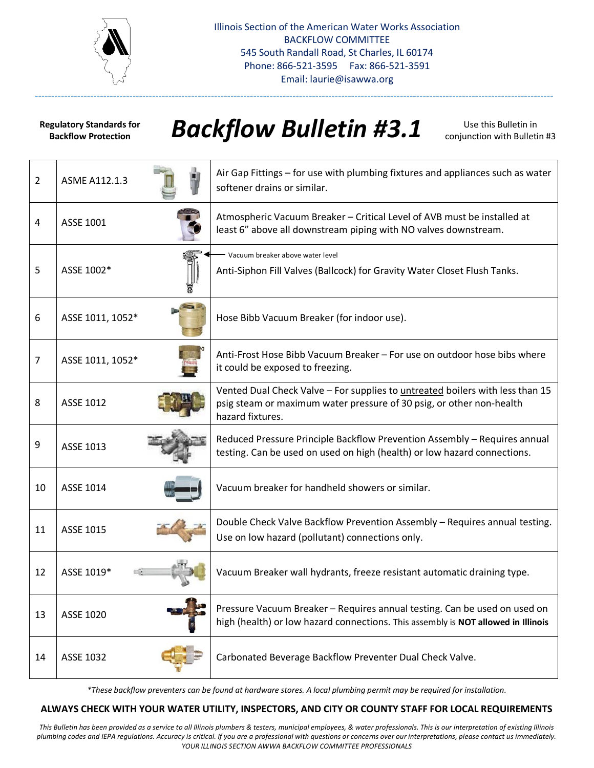

**Regulatory Standards for Backflow Protection**

# *Backflow Bulletin #3.1*

---------------------------------------------------------------------------------------------------------------------------------------------------------------

Use this Bulletin in conjunction with Bulletin #3

| $\overline{2}$ | ASME A112.1.3    | Air Gap Fittings – for use with plumbing fixtures and appliances such as water<br>softener drains or similar.                                                             |
|----------------|------------------|---------------------------------------------------------------------------------------------------------------------------------------------------------------------------|
| 4              | ASSE 1001        | Atmospheric Vacuum Breaker - Critical Level of AVB must be installed at<br>least 6" above all downstream piping with NO valves downstream.                                |
| 5              | ASSE 1002*       | Vacuum breaker above water level<br>Anti-Siphon Fill Valves (Ballcock) for Gravity Water Closet Flush Tanks.                                                              |
| 6              | ASSE 1011, 1052* | Hose Bibb Vacuum Breaker (for indoor use).                                                                                                                                |
| $\overline{7}$ | ASSE 1011, 1052* | Anti-Frost Hose Bibb Vacuum Breaker - For use on outdoor hose bibs where<br>it could be exposed to freezing.                                                              |
| 8              | ASSE 1012        | Vented Dual Check Valve - For supplies to untreated boilers with less than 15<br>psig steam or maximum water pressure of 30 psig, or other non-health<br>hazard fixtures. |
| 9              | ASSE 1013        | Reduced Pressure Principle Backflow Prevention Assembly - Requires annual<br>testing. Can be used on used on high (health) or low hazard connections.                     |
| 10             | ASSE 1014        | Vacuum breaker for handheld showers or similar.                                                                                                                           |
| 11             | ASSE 1015        | Double Check Valve Backflow Prevention Assembly - Requires annual testing.<br>Use on low hazard (pollutant) connections only.                                             |
| 12             | ASSE 1019*       | Vacuum Breaker wall hydrants, freeze resistant automatic draining type.                                                                                                   |
| 13             | ASSE 1020        | Pressure Vacuum Breaker - Requires annual testing. Can be used on used on<br>high (health) or low hazard connections. This assembly is NOT allowed in Illinois            |
| 14             | ASSE 1032        | Carbonated Beverage Backflow Preventer Dual Check Valve.                                                                                                                  |

*\*These backflow preventers can be found at hardware stores. A local plumbing permit may be required for installation.*

#### **ALWAYS CHECK WITH YOUR WATER UTILITY, INSPECTORS, AND CITY OR COUNTY STAFF FOR LOCAL REQUIREMENTS**

*This Bulletin has been provided as a service to all Illinois plumbers & testers, municipal employees, & water professionals. This is our interpretation of existing Illinois plumbing codes and IEPA regulations. Accuracy is critical. If you are a professional with questions or concerns over our interpretations, please contact us immediately. YOUR ILLINOIS SECTION AWWA BACKFLOW COMMITTEE PROFESSIONALS*